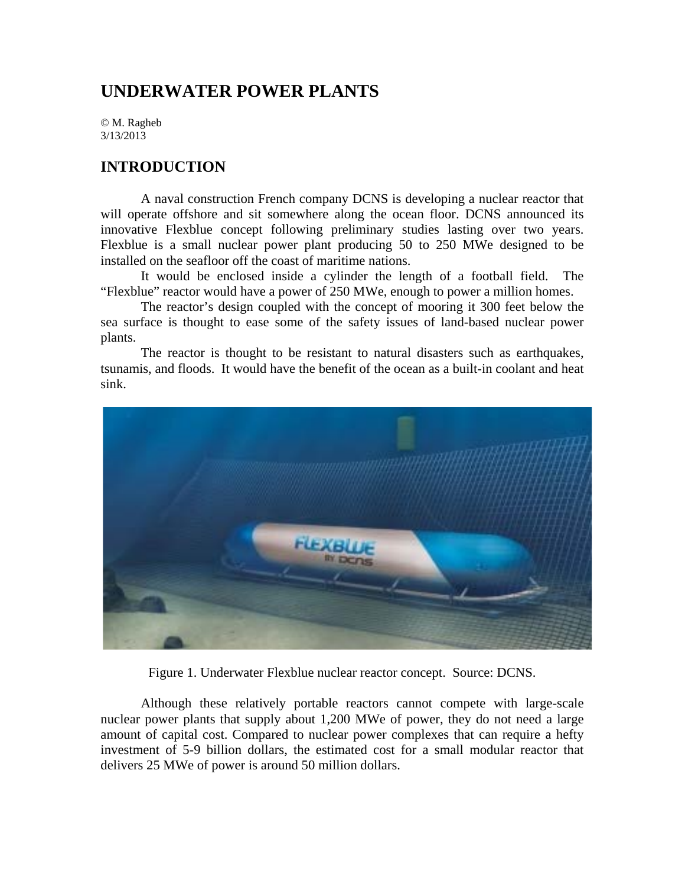# **UNDERWATER POWER PLANTS**

© M. Ragheb 3/13/2013

### **INTRODUCTION**

 A naval construction French company DCNS is developing a nuclear reactor that will operate offshore and sit somewhere along the ocean floor. DCNS announced its innovative Flexblue concept following preliminary studies lasting over two years. Flexblue is a small nuclear power plant producing 50 to 250 MWe designed to be installed on the seafloor off the coast of maritime nations.

It would be enclosed inside a cylinder the length of a football field. The "Flexblue" reactor would have a power of 250 MWe, enough to power a million homes.

 The reactor's design coupled with the concept of mooring it 300 feet below the sea surface is thought to ease some of the safety issues of land-based nuclear power plants.

 The reactor is thought to be resistant to natural disasters such as earthquakes, tsunamis, and floods. It would have the benefit of the ocean as a built-in coolant and heat sink.



Figure 1. Underwater Flexblue nuclear reactor concept. Source: DCNS.

Although these relatively portable reactors cannot compete with large-scale nuclear power plants that supply about 1,200 MWe of power, they do not need a large amount of capital cost. Compared to nuclear power complexes that can require a hefty investment of 5-9 billion dollars, the estimated cost for a small modular reactor that delivers 25 MWe of power is around 50 million dollars.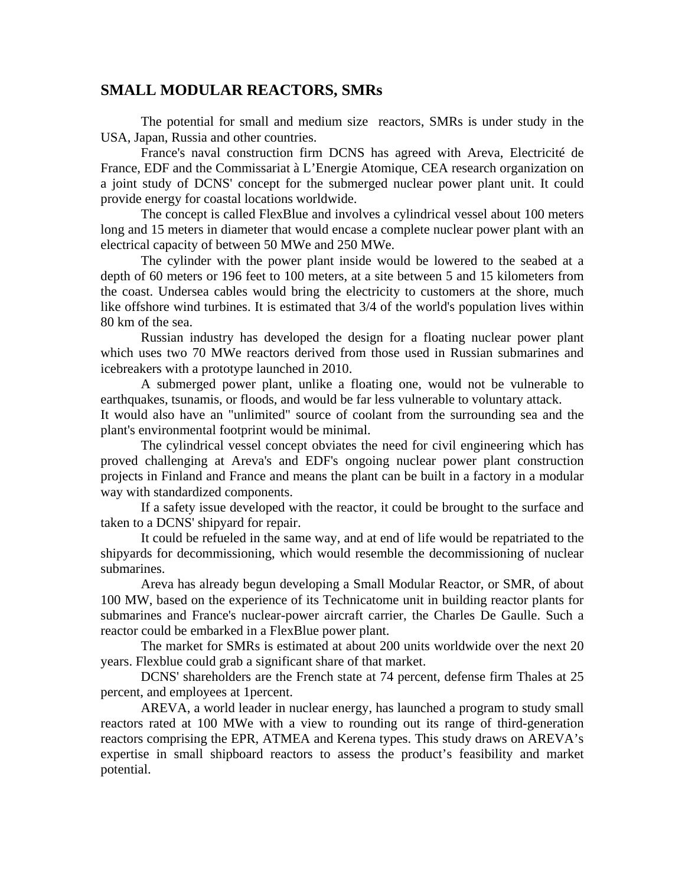## **SMALL MODULAR REACTORS, SMRs**

 The potential for small and medium size reactors, SMRs is under study in the USA, Japan, Russia and other countries.

France's naval construction firm DCNS has agreed with Areva, Electricité de France, EDF and the Commissariat à L'Energie Atomique, CEA research organization on a joint study of DCNS' concept for the submerged nuclear power plant unit. It could provide energy for coastal locations worldwide.

The concept is called FlexBlue and involves a cylindrical vessel about 100 meters long and 15 meters in diameter that would encase a complete nuclear power plant with an electrical capacity of between 50 MWe and 250 MWe.

The cylinder with the power plant inside would be lowered to the seabed at a depth of 60 meters or 196 feet to 100 meters, at a site between 5 and 15 kilometers from the coast. Undersea cables would bring the electricity to customers at the shore, much like offshore wind turbines. It is estimated that 3/4 of the world's population lives within 80 km of the sea.

Russian industry has developed the design for a floating nuclear power plant which uses two 70 MWe reactors derived from those used in Russian submarines and icebreakers with a prototype launched in 2010.

 A submerged power plant, unlike a floating one, would not be vulnerable to earthquakes, tsunamis, or floods, and would be far less vulnerable to voluntary attack.

It would also have an "unlimited" source of coolant from the surrounding sea and the plant's environmental footprint would be minimal.

The cylindrical vessel concept obviates the need for civil engineering which has proved challenging at Areva's and EDF's ongoing nuclear power plant construction projects in Finland and France and means the plant can be built in a factory in a modular way with standardized components.

If a safety issue developed with the reactor, it could be brought to the surface and taken to a DCNS' shipyard for repair.

It could be refueled in the same way, and at end of life would be repatriated to the shipyards for decommissioning, which would resemble the decommissioning of nuclear submarines.

Areva has already begun developing a Small Modular Reactor, or SMR, of about 100 MW, based on the experience of its Technicatome unit in building reactor plants for submarines and France's nuclear-power aircraft carrier, the Charles De Gaulle. Such a reactor could be embarked in a FlexBlue power plant.

 The market for SMRs is estimated at about 200 units worldwide over the next 20 years. Flexblue could grab a significant share of that market.

DCNS' shareholders are the French state at 74 percent, defense firm Thales at 25 percent, and employees at 1percent.

AREVA, a world leader in nuclear energy, has launched a program to study small reactors rated at 100 MWe with a view to rounding out its range of third-generation reactors comprising the EPR, ATMEA and Kerena types. This study draws on AREVA's expertise in small shipboard reactors to assess the product's feasibility and market potential.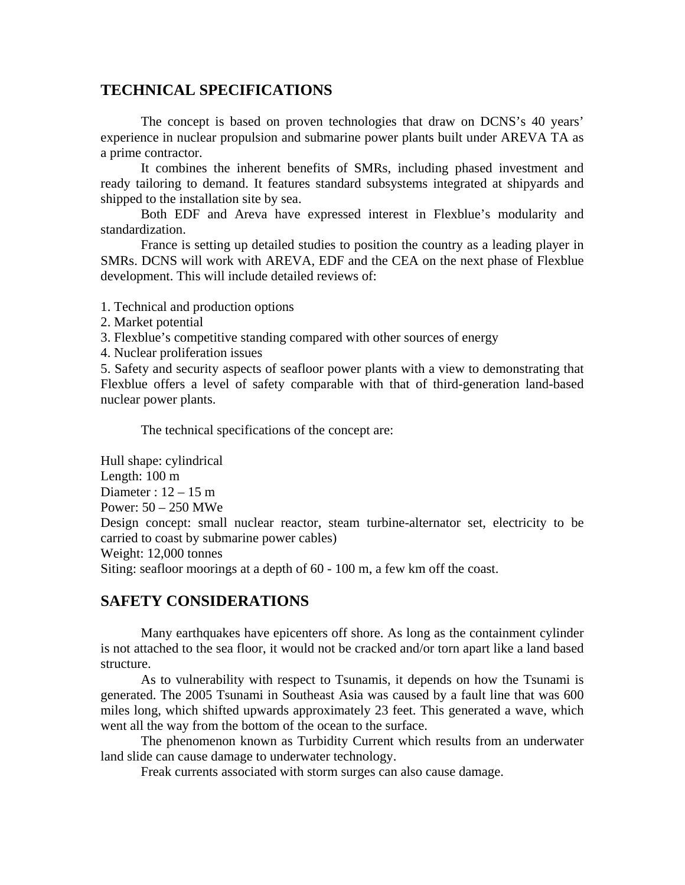### **TECHNICAL SPECIFICATIONS**

The concept is based on proven technologies that draw on DCNS's 40 years' experience in nuclear propulsion and submarine power plants built under AREVA TA as a prime contractor.

It combines the inherent benefits of SMRs, including phased investment and ready tailoring to demand. It features standard subsystems integrated at shipyards and shipped to the installation site by sea.

Both EDF and Areva have expressed interest in Flexblue's modularity and standardization.

France is setting up detailed studies to position the country as a leading player in SMRs. DCNS will work with AREVA, EDF and the CEA on the next phase of Flexblue development. This will include detailed reviews of:

1. Technical and production options

2. Market potential

3. Flexblue's competitive standing compared with other sources of energy

4. Nuclear proliferation issues

5. Safety and security aspects of seafloor power plants with a view to demonstrating that Flexblue offers a level of safety comparable with that of third-generation land-based nuclear power plants.

The technical specifications of the concept are:

Hull shape: cylindrical Length: 100 m Diameter :  $12 - 15$  m Power: 50 – 250 MWe Design concept: small nuclear reactor, steam turbine-alternator set, electricity to be carried to coast by submarine power cables) Weight: 12,000 tonnes Siting: seafloor moorings at a depth of 60 - 100 m, a few km off the coast.

# **SAFETY CONSIDERATIONS**

Many earthquakes have epicenters off shore. As long as the containment cylinder is not attached to the sea floor, it would not be cracked and/or torn apart like a land based structure.

As to vulnerability with respect to Tsunamis, it depends on how the Tsunami is generated. The 2005 Tsunami in Southeast Asia was caused by a fault line that was 600 miles long, which shifted upwards approximately 23 feet. This generated a wave, which went all the way from the bottom of the ocean to the surface.

The phenomenon known as Turbidity Current which results from an underwater land slide can cause damage to underwater technology.

Freak currents associated with storm surges can also cause damage.